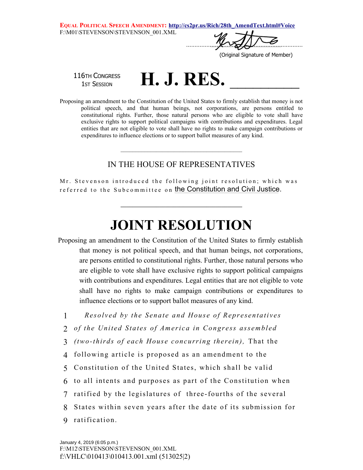**EQUAL POLITICAL SPEECH AMENDMENT: http://cs2pr.us/Rich/28th\_AmendText.html#Voice** F:\M01\STEVENSON\STEVENSON\_001.XML

 $\sqrt{2}$ 

(Original Signature of Member)

116TH CONGRESS

 $^{\sf 6TH~ConGREGS}\qquad {\bf H.\ J.\ RES.}$ 

Proposing an amendment to the Constitution of the United States to firmly establish that money is not political speech, and that human beings, not corporations, are persons entitled to constitutional rights. Further, those natural persons who are eligible to vote shall have exclusive rights to support political campaigns with contributions and expenditures. Legal entities that are not eligible to vote shall have no rights to make campaign contributions or expenditures to influence elections or to support ballot measures of any kind.

## IN THE HOUSE OF REPRESENTATIVES

\_\_\_\_\_\_\_\_\_\_\_\_\_\_\_\_\_\_\_\_\_\_\_\_\_\_\_\_\_\_\_\_\_\_\_\_\_\_\_\_\_

Mr. Stevenson introduced the following joint resolution; which was referred to the Subcommittee on <mark>the Constitution and Civil Justice</mark>.

## **JOINT RESOLUTION**

**\_\_\_\_\_\_\_\_\_\_\_\_\_\_\_\_\_\_\_\_\_\_\_\_\_\_\_\_\_\_\_\_\_\_\_\_\_\_\_\_\_**

Proposing an amendment to the Constitution of the United States to firmly establish that money is not political speech, and that human beings, not corporations, are persons entitled to constitutional rights. Further, those natural persons who are eligible to vote shall have exclusive rights to support political campaigns with contributions and expenditures. Legal entities that are not eligible to vote shall have no rights to make campaign contributions or expenditures to influence elections or to support ballot measures of any kind.

1 **Resolved by the Senate and House of Representatives** 

- 2 of the United States of America in Congress assembled
- 3 *(two-thirds of each House concurring therein),* That the
- 4 following article is proposed as an amendment to the
- 5 Constitution of the United States, which shall be valid
- 6 to all intents and purposes as part of the Constitution when
- 7 ratified by the legislatures of three-fourths of the several
- 8 States within seven years after the date of its submission for
- 9 ratification.